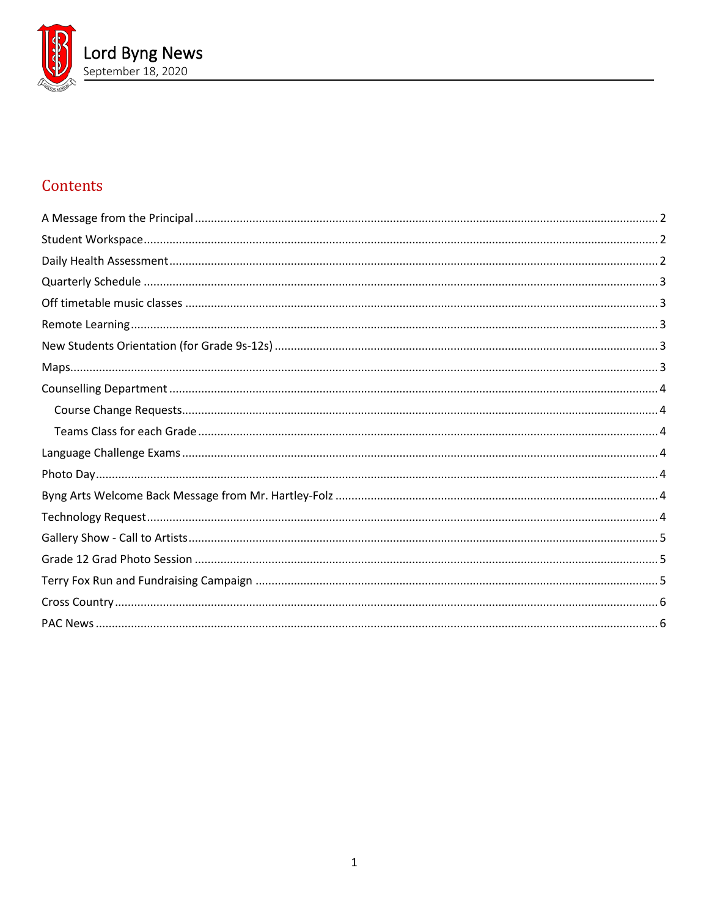

# Contents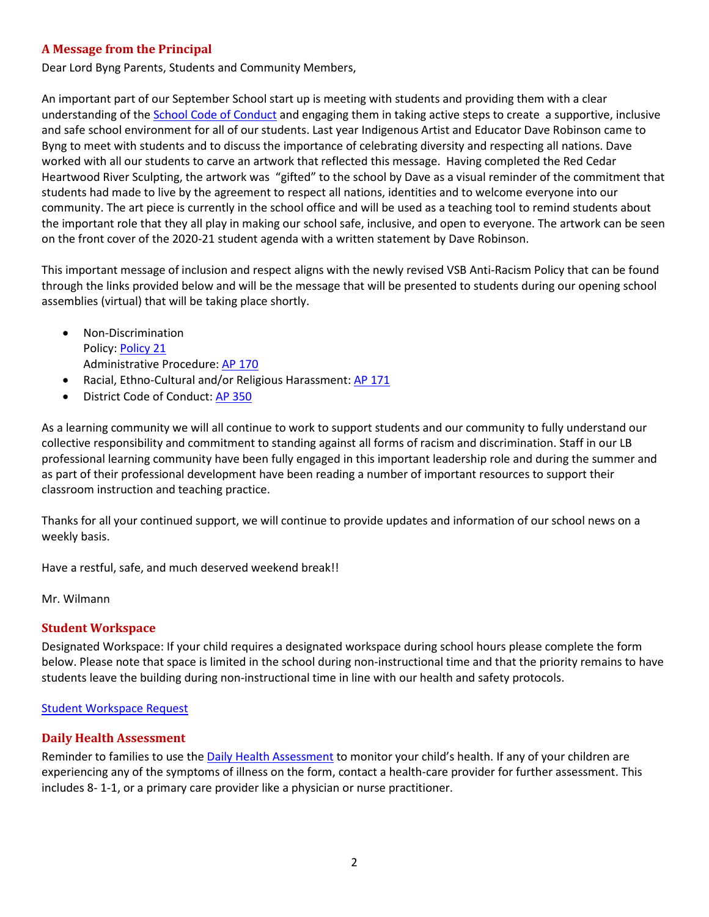## <span id="page-1-0"></span>**A Message from the Principal**

Dear Lord Byng Parents, Students and Community Members,

An important part of our September School start up is meeting with students and providing them with a clear understanding of th[e School Code of Conduct](https://www.vsb.bc.ca/schools/lord-byng/Guidance-and-Support/Code-of-Conduct/Pages/default.aspx) and engaging them in taking active steps to create a supportive, inclusive and safe school environment for all of our students. Last year Indigenous Artist and Educator Dave Robinson came to Byng to meet with students and to discuss the importance of celebrating diversity and respecting all nations. Dave worked with all our students to carve an artwork that reflected this message. Having completed the Red Cedar Heartwood River Sculpting, the artwork was "gifted" to the school by Dave as a visual reminder of the commitment that students had made to live by the agreement to respect all nations, identities and to welcome everyone into our community. The art piece is currently in the school office and will be used as a teaching tool to remind students about the important role that they all play in making our school safe, inclusive, and open to everyone. The artwork can be seen on the front cover of the 2020-21 student agenda with a written statement by Dave Robinson.

This important message of inclusion and respect aligns with the newly revised VSB Anti-Racism Policy that can be found through the links provided below and will be the message that will be presented to students during our opening school assemblies (virtual) that will be taking place shortly.

- Non-Discrimination Policy[: Policy 21](http://www.vsb.bc.ca/District/Board-of-Education/Policy_Manual/Documents/sbfile/180928/21-Policy21-Non-discrimination.pdf) Administrative Procedure[: AP 170](https://www.vsb.bc.ca/District/Departments/Office_of_the_Superintendent/Administrative-Procedures-Manual/Administrative%20Procedures%20Manual%20Library/Section%20100/AP_170_Non_Discrimination.pdf?web=1)
- Racial, Ethno-Cultural and/or Religious Harassment[: AP 171](https://www.vsb.bc.ca/District/Departments/Office_of_the_Superintendent/Administrative-Procedures-Manual/Administrative%20Procedures%20Manual%20Library/Section%20100/AP_171_Racial_Ethno-Cultural_and_or_Religious_Harassment.pdf?web=1)
- District Code of Conduct: [AP 350](https://www.vsb.bc.ca/District/Departments/Office_of_the_Superintendent/Administrative-Procedures-Manual/Administrative%20Procedures%20Manual%20Library/Section%20300/AP_350_District_Student_Code_of_Conduct.pdf?web=1)

As a learning community we will all continue to work to support students and our community to fully understand our collective responsibility and commitment to standing against all forms of racism and discrimination. Staff in our LB professional learning community have been fully engaged in this important leadership role and during the summer and as part of their professional development have been reading a number of important resources to support their classroom instruction and teaching practice.

Thanks for all your continued support, we will continue to provide updates and information of our school news on a weekly basis.

Have a restful, safe, and much deserved weekend break!!

<span id="page-1-1"></span>Mr. Wilmann

#### **Student Workspace**

Designated Workspace: If your child requires a designated workspace during school hours please complete the form below. Please note that space is limited in the school during non-instructional time and that the priority remains to have students leave the building during non-instructional time in line with our health and safety protocols.

#### <span id="page-1-2"></span>[Student Workspace Request](https://forms.office.com/Pages/ResponsePage.aspx?id=WC6KCzB7CEq6t9dVWeDjpcU6_SJBxJFAvnYu4EP3zdBUOE1DMDQwUkREWVY5NDZHTTI4Nk4wMzM5VC4u)

#### **Daily Health Assessment**

Reminder to families to use the [Daily Health Assessment](https://www.vsb.bc.ca/repository/SBAttachments/8e11130a-23bc-4157-9294-1c252018cc4d_DailyHealthAssessment-StudentandParent.pdf) to monitor your child's health. If any of your children are experiencing any of the symptoms of illness on the form, contact a health-care provider for further assessment. This includes 8- 1-1, or a primary care provider like a physician or nurse practitioner.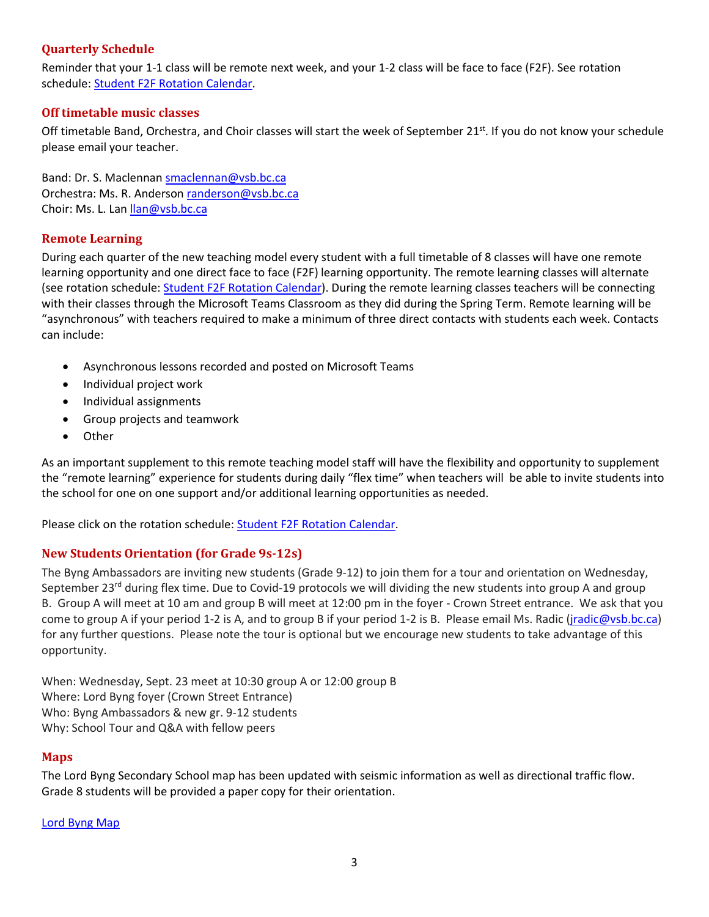## <span id="page-2-0"></span>**Quarterly Schedule**

Reminder that your 1-1 class will be remote next week, and your 1-2 class will be face to face (F2F). See rotation schedule: [Student F2F Rotation Calendar.](https://www.vsb.bc.ca/repository/SBAttachments/8e11130a-23bc-4157-9294-1c252018cc4d_STUDENTF2FandRemoteBlockCalendar2020-2021.pdf)

### <span id="page-2-1"></span>**Off timetable music classes**

Off timetable Band, Orchestra, and Choir classes will start the week of September 21<sup>st</sup>. If you do not know your schedule please email your teacher.

Band: Dr. S. Maclennan [smaclennan@vsb.bc.ca](mailto:smaclennan@vsb.bc.ca) Orchestra: Ms. R. Anderson [randerson@vsb.bc.ca](mailto:randerson@vsb.bc.ca) Choir: Ms. L. Lan [llan@vsb.bc.ca](mailto:llan@vsb.bc.ca)

## <span id="page-2-2"></span>**Remote Learning**

During each quarter of the new teaching model every student with a full timetable of 8 classes will have one remote learning opportunity and one direct face to face (F2F) learning opportunity. The remote learning classes will alternate (see rotation schedule: [Student F2F Rotation Calendar\)](https://www.vsb.bc.ca/repository/SBAttachments/8e11130a-23bc-4157-9294-1c252018cc4d_STUDENTF2FandRemoteBlockCalendar2020-2021.pdf). During the remote learning classes teachers will be connecting with their classes through the Microsoft Teams Classroom as they did during the Spring Term. Remote learning will be "asynchronous" with teachers required to make a minimum of three direct contacts with students each week. Contacts can include:

- Asynchronous lessons recorded and posted on Microsoft Teams
- Individual project work
- Individual assignments
- Group projects and teamwork
- Other

As an important supplement to this remote teaching model staff will have the flexibility and opportunity to supplement the "remote learning" experience for students during daily "flex time" when teachers will be able to invite students into the school for one on one support and/or additional learning opportunities as needed.

<span id="page-2-3"></span>Please click on the rotation schedule[: Student F2F Rotation Calendar.](https://www.vsb.bc.ca/repository/SBAttachments/8e11130a-23bc-4157-9294-1c252018cc4d_STUDENTF2FandRemoteBlockCalendar2020-2021.pdf)

## **New Students Orientation (for Grade 9s-12s)**

The Byng Ambassadors are inviting new students (Grade 9-12) to join them for a tour and orientation on Wednesday, September 23<sup>rd</sup> during flex time. Due to Covid-19 protocols we will dividing the new students into group A and group B. Group A will meet at 10 am and group B will meet at 12:00 pm in the foyer - Crown Street entrance. We ask that you come to group A if your period 1-2 is A, and to group B if your period 1-2 is B. Please email Ms. Radic [\(jradic@vsb.bc.ca\)](mailto:jradic@vsb.bc.ca) for any further questions. Please note the tour is optional but we encourage new students to take advantage of this opportunity.

When: Wednesday, Sept. 23 meet at 10:30 group A or 12:00 group B Where: Lord Byng foyer (Crown Street Entrance) Who: Byng Ambassadors & new gr. 9-12 students Why: School Tour and Q&A with fellow peers

#### <span id="page-2-4"></span>**Maps**

The Lord Byng Secondary School map has been updated with seismic information as well as directional traffic flow. Grade 8 students will be provided a paper copy for their orientation.

[Lord Byng Map](https://www.vsb.bc.ca/repository/SBAttachments/8e11130a-23bc-4157-9294-1c252018cc4d_LordByngSecondaryMapSept2020.pdf)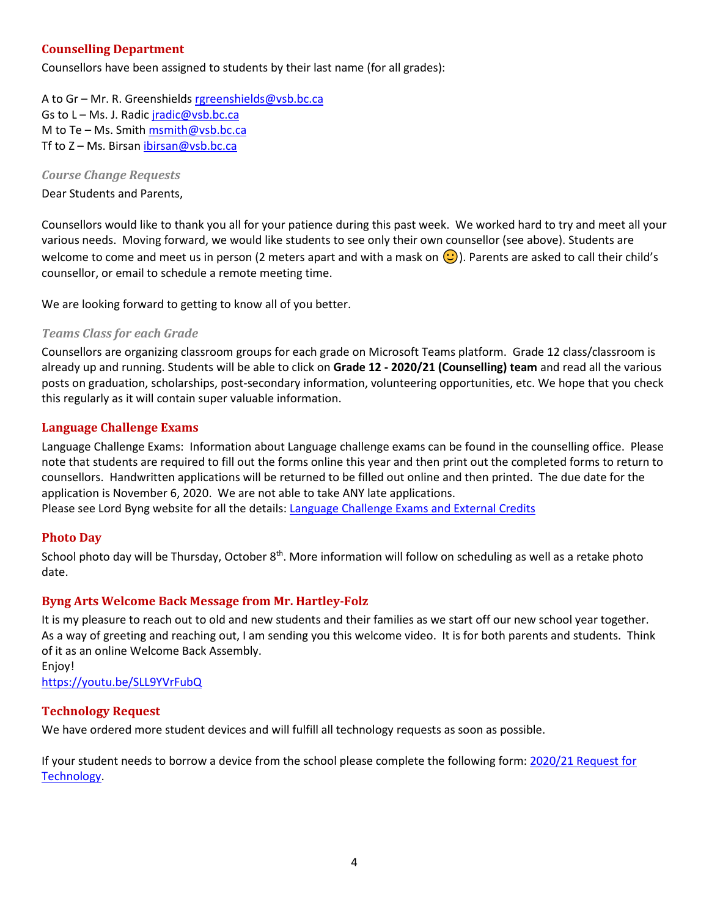## <span id="page-3-0"></span>**Counselling Department**

Counsellors have been assigned to students by their last name (for all grades):

A to Gr – Mr. R. Greenshields [rgreenshields@vsb.bc.ca](mailto:rgreenshields@vsb.bc.ca) Gs to L - Ms. J. Radic [jradic@vsb.bc.ca](mailto:jradic@vsb.bc.ca) M to Te – Ms. Smit[h msmith@vsb.bc.ca](mailto:msmith@vsb.bc.ca) Tf to Z - Ms. Birsan [ibirsan@vsb.bc.ca](mailto:ibirsan@vsb.bc.ca)

<span id="page-3-1"></span>*Course Change Requests*

Dear Students and Parents,

Counsellors would like to thank you all for your patience during this past week. We worked hard to try and meet all your various needs. Moving forward, we would like students to see only their own counsellor (see above). Students are welcome to come and meet us in person (2 meters apart and with a mask on  $\bigcirc$ ). Parents are asked to call their child's counsellor, or email to schedule a remote meeting time.

<span id="page-3-2"></span>We are looking forward to getting to know all of you better.

#### *Teams Class for each Grade*

Counsellors are organizing classroom groups for each grade on Microsoft Teams platform. Grade 12 class/classroom is already up and running. Students will be able to click on **Grade 12 - 2020/21 (Counselling) team** and read all the various posts on graduation, scholarships, post-secondary information, volunteering opportunities, etc. We hope that you check this regularly as it will contain super valuable information.

#### <span id="page-3-3"></span>**Language Challenge Exams**

Language Challenge Exams: Information about Language challenge exams can be found in the counselling office. Please note that students are required to fill out the forms online this year and then print out the completed forms to return to counsellors. Handwritten applications will be returned to be filled out online and then printed. The due date for the application is November 6, 2020. We are not able to take ANY late applications.

<span id="page-3-4"></span>Please see Lord Byng website for all the details: [Language Challenge Exams and External Credits](https://www.vsb.bc.ca/schools/lord-byng/Teaching-and-Learning/Classes-and-Departments/Counselling/Pages/Language-Challenge-Exams-and-External-Credits.aspx?rf=830e511d-a1a4-4faf-99d0-28b1736820df)

#### **Photo Day**

School photo day will be Thursday, October 8<sup>th</sup>. More information will follow on scheduling as well as a retake photo date.

#### <span id="page-3-5"></span>**Byng Arts Welcome Back Message from Mr. Hartley-Folz**

It is my pleasure to reach out to old and new students and their families as we start off our new school year together. As a way of greeting and reaching out, I am sending you this welcome video. It is for both parents and students. Think of it as an online Welcome Back Assembly.

Enjoy! <https://youtu.be/SLL9YVrFubQ>

#### <span id="page-3-6"></span>**Technology Request**

We have ordered more student devices and will fulfill all technology requests as soon as possible.

If your student needs to borrow a device from the school please complete the following form: [2020/21 Request for](https://forms.office.com/Pages/ResponsePage.aspx?id=WC6KCzB7CEq6t9dVWeDjpcU6_SJBxJFAvnYu4EP3zdBUQjczVkhOWkdMRkk3S0IwWUpOMUszVlVUVC4u)  [Technology.](https://forms.office.com/Pages/ResponsePage.aspx?id=WC6KCzB7CEq6t9dVWeDjpcU6_SJBxJFAvnYu4EP3zdBUQjczVkhOWkdMRkk3S0IwWUpOMUszVlVUVC4u)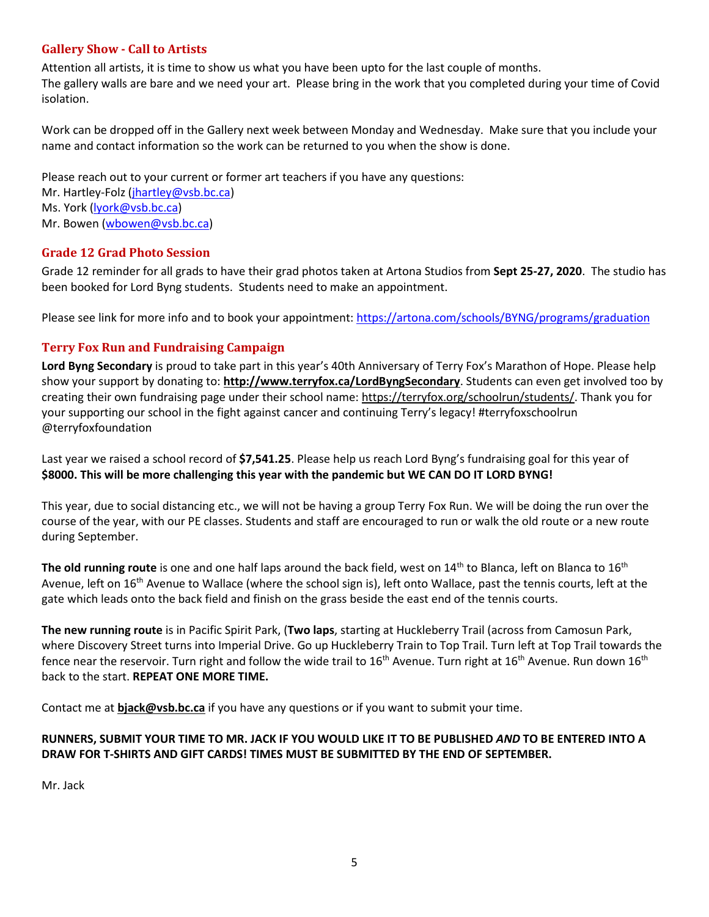## <span id="page-4-0"></span>**Gallery Show - Call to Artists**

Attention all artists, it is time to show us what you have been upto for the last couple of months. The gallery walls are bare and we need your art. Please bring in the work that you completed during your time of Covid isolation.

Work can be dropped off in the Gallery next week between Monday and Wednesday. Make sure that you include your name and contact information so the work can be returned to you when the show is done.

Please reach out to your current or former art teachers if you have any questions:

Mr. Hartley-Folz [\(jhartley@vsb.bc.ca\)](mailto:jhartley@vsb.bc.ca) Ms. York [\(lyork@vsb.bc.ca\)](mailto:lyork@vsb.bc.ca) Mr. Bowen [\(wbowen@vsb.bc.ca\)](mailto:wbowen@vsb.bc.ca)

## <span id="page-4-1"></span>**Grade 12 Grad Photo Session**

Grade 12 reminder for all grads to have their grad photos taken at Artona Studios from **Sept 25-27, 2020**. The studio has been booked for Lord Byng students. Students need to make an appointment.

<span id="page-4-2"></span>Please see link for more info and to book your appointment:<https://artona.com/schools/BYNG/programs/graduation>

## **Terry Fox Run and Fundraising Campaign**

**Lord Byng Secondary** is proud to take part in this year's 40th Anniversary of Terry Fox's Marathon of Hope. Please help show your support by donating to: **<http://www.terryfox.ca/LordByngSecondary>**. Students can even get involved too by creating their own fundraising page under their school name: [https://terryfox.org/schoolrun/students/.](https://terryfox.us9.list-manage.com/track/click?u=9c16f8b6c2b735d53eb75ef97&id=4f2b925d4b&e=0ae33321b8) Thank you for your supporting our school in the fight against cancer and continuing Terry's legacy! #terryfoxschoolrun @terryfoxfoundation

Last year we raised a school record of **\$7,541.25**. Please help us reach Lord Byng's fundraising goal for this year of **\$8000. This will be more challenging this year with the pandemic but WE CAN DO IT LORD BYNG!**

This year, due to social distancing etc., we will not be having a group Terry Fox Run. We will be doing the run over the course of the year, with our PE classes. Students and staff are encouraged to run or walk the old route or a new route during September.

The old running route is one and one half laps around the back field, west on 14<sup>th</sup> to Blanca, left on Blanca to 16<sup>th</sup> Avenue, left on 16<sup>th</sup> Avenue to Wallace (where the school sign is), left onto Wallace, past the tennis courts, left at the gate which leads onto the back field and finish on the grass beside the east end of the tennis courts.

**The new running route** is in Pacific Spirit Park, (**Two laps**, starting at Huckleberry Trail (across from Camosun Park, where Discovery Street turns into Imperial Drive. Go up Huckleberry Train to Top Trail. Turn left at Top Trail towards the fence near the reservoir. Turn right and follow the wide trail to  $16^{th}$  Avenue. Turn right at  $16^{th}$  Avenue. Run down  $16^{th}$ back to the start. **REPEAT ONE MORE TIME.**

Contact me at **[bjack@vsb.bc.ca](mailto:bjack@vsb.bc.ca)** if you have any questions or if you want to submit your time.

## **RUNNERS, SUBMIT YOUR TIME TO MR. JACK IF YOU WOULD LIKE IT TO BE PUBLISHED** *AND* **TO BE ENTERED INTO A DRAW FOR T-SHIRTS AND GIFT CARDS! TIMES MUST BE SUBMITTED BY THE END OF SEPTEMBER.**

Mr. Jack